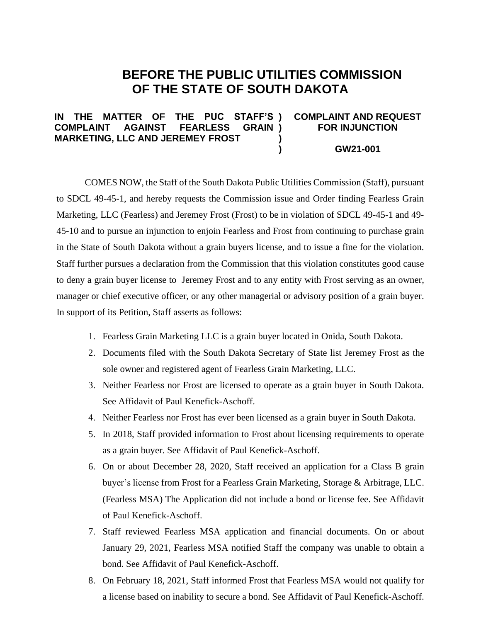## **BEFORE THE PUBLIC UTILITIES COMMISSION OF THE STATE OF SOUTH DAKOTA**

## IN THE MATTER OF THE PUC **COMPLAINT AGAINST FEARLESS MARKETING, LLC AND JEREMEY FROST ) ) ) ) COMPLAINT AND REQUEST FOR INJUNCTION GW21-001**

COMES NOW, the Staff of the South Dakota Public Utilities Commission (Staff), pursuant to SDCL 49-45-1, and hereby requests the Commission issue and Order finding Fearless Grain Marketing, LLC (Fearless) and Jeremey Frost (Frost) to be in violation of SDCL 49-45-1 and 49- 45-10 and to pursue an injunction to enjoin Fearless and Frost from continuing to purchase grain in the State of South Dakota without a grain buyers license, and to issue a fine for the violation. Staff further pursues a declaration from the Commission that this violation constitutes good cause to deny a grain buyer license to Jeremey Frost and to any entity with Frost serving as an owner, manager or chief executive officer, or any other managerial or advisory position of a grain buyer. In support of its Petition, Staff asserts as follows:

- 1. Fearless Grain Marketing LLC is a grain buyer located in Onida, South Dakota.
- 2. Documents filed with the South Dakota Secretary of State list Jeremey Frost as the sole owner and registered agent of Fearless Grain Marketing, LLC.
- 3. Neither Fearless nor Frost are licensed to operate as a grain buyer in South Dakota. See Affidavit of Paul Kenefick-Aschoff.
- 4. Neither Fearless nor Frost has ever been licensed as a grain buyer in South Dakota.
- 5. In 2018, Staff provided information to Frost about licensing requirements to operate as a grain buyer. See Affidavit of Paul Kenefick-Aschoff.
- 6. On or about December 28, 2020, Staff received an application for a Class B grain buyer's license from Frost for a Fearless Grain Marketing, Storage & Arbitrage, LLC. (Fearless MSA) The Application did not include a bond or license fee. See Affidavit of Paul Kenefick-Aschoff.
- 7. Staff reviewed Fearless MSA application and financial documents. On or about January 29, 2021, Fearless MSA notified Staff the company was unable to obtain a bond. See Affidavit of Paul Kenefick-Aschoff.
- 8. On February 18, 2021, Staff informed Frost that Fearless MSA would not qualify for a license based on inability to secure a bond. See Affidavit of Paul Kenefick-Aschoff.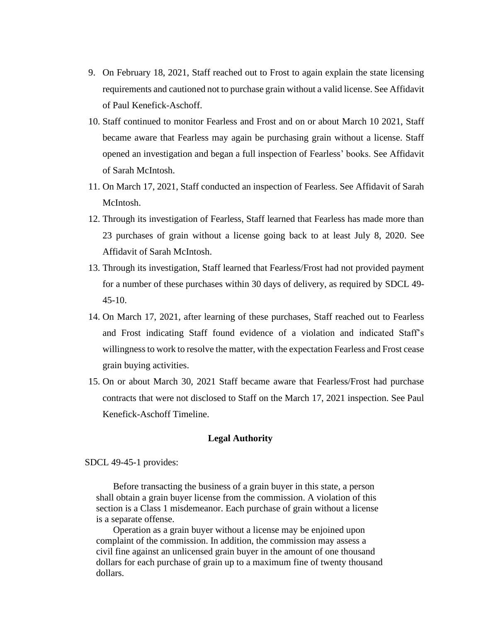- 9. On February 18, 2021, Staff reached out to Frost to again explain the state licensing requirements and cautioned not to purchase grain without a valid license. See Affidavit of Paul Kenefick-Aschoff.
- 10. Staff continued to monitor Fearless and Frost and on or about March 10 2021, Staff became aware that Fearless may again be purchasing grain without a license. Staff opened an investigation and began a full inspection of Fearless' books. See Affidavit of Sarah McIntosh.
- 11. On March 17, 2021, Staff conducted an inspection of Fearless. See Affidavit of Sarah McIntosh.
- 12. Through its investigation of Fearless, Staff learned that Fearless has made more than 23 purchases of grain without a license going back to at least July 8, 2020. See Affidavit of Sarah McIntosh.
- 13. Through its investigation, Staff learned that Fearless/Frost had not provided payment for a number of these purchases within 30 days of delivery, as required by SDCL 49-  $45-10$ .
- 14. On March 17, 2021, after learning of these purchases, Staff reached out to Fearless and Frost indicating Staff found evidence of a violation and indicated Staff's willingness to work to resolve the matter, with the expectation Fearless and Frost cease grain buying activities.
- 15. On or about March 30, 2021 Staff became aware that Fearless/Frost had purchase contracts that were not disclosed to Staff on the March 17, 2021 inspection. See Paul Kenefick-Aschoff Timeline.

## **Legal Authority**

SDCL 49-45-1 provides:

Before transacting the business of a grain buyer in this state, a person shall obtain a grain buyer license from the commission. A violation of this section is a Class 1 misdemeanor. Each purchase of grain without a license is a separate offense.

Operation as a grain buyer without a license may be enjoined upon complaint of the commission. In addition, the commission may assess a civil fine against an unlicensed grain buyer in the amount of one thousand dollars for each purchase of grain up to a maximum fine of twenty thousand dollars.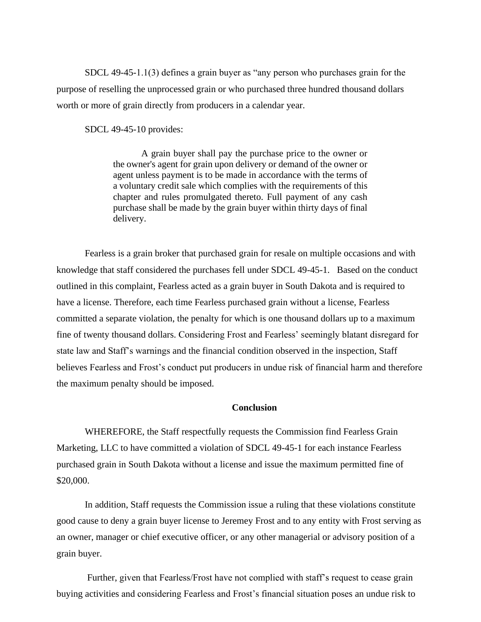SDCL 49-45-1.1(3) defines a grain buyer as "any person who purchases grain for the purpose of reselling the unprocessed grain or who purchased three hundred thousand dollars worth or more of grain directly from producers in a calendar year.

SDCL 49-45-10 provides:

A grain buyer shall pay the purchase price to the owner or the owner's agent for grain upon delivery or demand of the owner or agent unless payment is to be made in accordance with the terms of a voluntary credit sale which complies with the requirements of this chapter and rules promulgated thereto. Full payment of any cash purchase shall be made by the grain buyer within thirty days of final delivery.

Fearless is a grain broker that purchased grain for resale on multiple occasions and with knowledge that staff considered the purchases fell under SDCL 49-45-1. Based on the conduct outlined in this complaint, Fearless acted as a grain buyer in South Dakota and is required to have a license. Therefore, each time Fearless purchased grain without a license, Fearless committed a separate violation, the penalty for which is one thousand dollars up to a maximum fine of twenty thousand dollars. Considering Frost and Fearless' seemingly blatant disregard for state law and Staff's warnings and the financial condition observed in the inspection, Staff believes Fearless and Frost's conduct put producers in undue risk of financial harm and therefore the maximum penalty should be imposed.

## **Conclusion**

WHEREFORE, the Staff respectfully requests the Commission find Fearless Grain Marketing, LLC to have committed a violation of SDCL 49-45-1 for each instance Fearless purchased grain in South Dakota without a license and issue the maximum permitted fine of \$20,000.

In addition, Staff requests the Commission issue a ruling that these violations constitute good cause to deny a grain buyer license to Jeremey Frost and to any entity with Frost serving as an owner, manager or chief executive officer, or any other managerial or advisory position of a grain buyer.

Further, given that Fearless/Frost have not complied with staff's request to cease grain buying activities and considering Fearless and Frost's financial situation poses an undue risk to